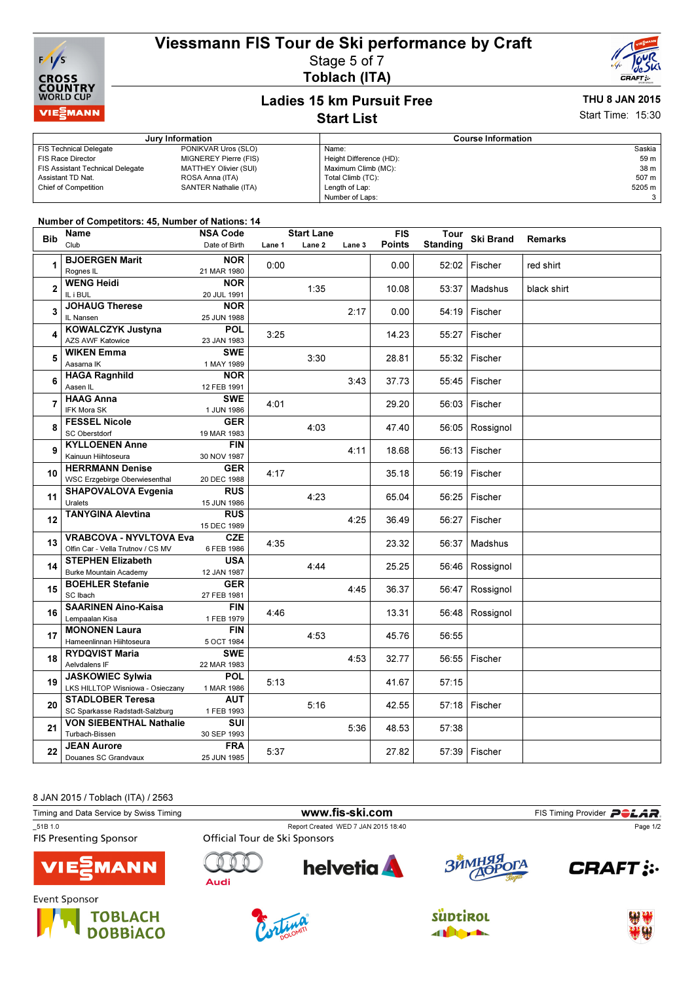# Viessmann FIS Tour de Ski performance by Craft



#### Stage 5 of 7 Toblach (ITA)



### Ladies 15 km Pursuit Free Start List

# THU 8 JAN 2015

Start Time: 15:30

|                                         | Jury Information      | <b>Course Information</b> |        |  |
|-----------------------------------------|-----------------------|---------------------------|--------|--|
| <b>FIS Technical Delegate</b>           | PONIKVAR Uros (SLO)   | Name:                     | Saskia |  |
| <b>FIS Race Director</b>                | MIGNEREY Pierre (FIS) | Height Difference (HD):   | 59 m   |  |
| <b>FIS Assistant Technical Delegate</b> | MATTHEY Olivier (SUI) | Maximum Climb (MC):       | 38 m   |  |
| Assistant TD Nat.                       | ROSA Anna (ITA)       | Total Climb (TC):         | 507 m  |  |
| <b>Chief of Competition</b>             | SANTER Nathalie (ITA) | Length of Lap:            | 5205 m |  |
|                                         |                       | Number of Laps:           |        |  |

#### Number of Competitors: 45, Number of Nations: 14

| <b>Bib</b>     | Name                                                     | <b>NSA Code</b>           |        | <b>Start Lane</b> |        | <b>FIS</b>    | Tour            | <b>Ski Brand</b> | <b>Remarks</b> |
|----------------|----------------------------------------------------------|---------------------------|--------|-------------------|--------|---------------|-----------------|------------------|----------------|
|                | Club                                                     | Date of Birth             | Lane 1 | Lane <sub>2</sub> | Lane 3 | <b>Points</b> | <b>Standing</b> |                  |                |
|                | <b>BJOERGEN Marit</b>                                    | <b>NOR</b>                |        |                   |        |               |                 |                  |                |
| 1              | Rognes IL                                                | 21 MAR 1980               | 0:00   |                   |        | 0.00          | 52:02           | Fischer          | red shirt      |
|                | <b>WENG Heidi</b>                                        | <b>NOR</b>                |        |                   |        |               |                 |                  |                |
| $\overline{2}$ | IL i BUL                                                 | 20 JUL 1991               |        | 1:35              |        | 10.08         | 53:37           | Madshus          | black shirt    |
|                | <b>JOHAUG Therese</b>                                    | <b>NOR</b>                |        |                   |        |               |                 |                  |                |
| 3              | IL Nansen                                                | 25 JUN 1988               |        |                   | 2:17   | 0.00          | 54:19           | Fischer          |                |
|                | <b>KOWALCZYK Justyna</b>                                 | <b>POL</b>                |        |                   |        |               |                 |                  |                |
| 4              | <b>AZS AWF Katowice</b>                                  | 23 JAN 1983               | 3:25   |                   |        | 14.23         | 55:27           | Fischer          |                |
|                | <b>WIKEN Emma</b>                                        | <b>SWE</b>                |        |                   |        |               |                 |                  |                |
| 5              | Aasarna IK                                               | 1 MAY 1989                |        | 3:30              |        | 28.81         | 55:32           | Fischer          |                |
| 6              | <b>HAGA Ragnhild</b>                                     | <b>NOR</b>                |        |                   |        |               |                 |                  |                |
|                | Aasen IL                                                 | 12 FEB 1991               |        |                   | 3:43   | 37.73         | 55:45           | Fischer          |                |
| $\overline{7}$ | <b>HAAG Anna</b>                                         | <b>SWE</b>                | 4:01   |                   |        | 29.20         | 56:03           | Fischer          |                |
|                | IFK Mora SK                                              | 1 JUN 1986                |        |                   |        |               |                 |                  |                |
| 8              | <b>FESSEL Nicole</b>                                     | <b>GER</b>                |        | 4:03              |        | 47.40         | 56:05           | Rossignol        |                |
|                | <b>SC Oberstdorf</b>                                     | 19 MAR 1983               |        |                   |        |               |                 |                  |                |
| 9              | <b>KYLLOENEN Anne</b>                                    | <b>FIN</b>                |        |                   | 4:11   | 18.68         | 56:13           | Fischer          |                |
|                | Kainuun Hiihtoseura                                      | 30 NOV 1987               |        |                   |        |               |                 |                  |                |
| 10             | <b>HERRMANN Denise</b>                                   | <b>GER</b>                | 4:17   |                   |        | 35.18         | 56:19           | Fischer          |                |
|                | <b>WSC Erzgebirge Oberwiesenthal</b>                     | 20 DEC 1988               |        |                   |        |               |                 |                  |                |
| 11             | <b>SHAPOVALOVA Evgenia</b>                               | <b>RUS</b>                |        | 4:23              |        | 65.04         | 56:25           | Fischer          |                |
|                | Uralets                                                  | 15 JUN 1986               |        |                   |        |               |                 |                  |                |
| 12             | <b>TANYGINA Alevtina</b>                                 | <b>RUS</b>                |        |                   | 4:25   | 36.49         | 56:27           | Fischer          |                |
|                |                                                          | 15 DEC 1989               |        |                   |        |               |                 |                  |                |
| 13             | <b>VRABCOVA - NYVLTOVA Eva</b>                           | <b>CZE</b>                | 4:35   |                   |        | 23.32         | 56:37           | Madshus          |                |
|                | Olfin Car - Vella Trutnov / CS MV                        | 6 FEB 1986                |        |                   |        |               |                 |                  |                |
| 14             | <b>STEPHEN Elizabeth</b>                                 | <b>USA</b>                |        | 4:44              |        | 25.25         | 56:46           | Rossignol        |                |
|                | <b>Burke Mountain Academy</b><br><b>BOEHLER Stefanie</b> | 12 JAN 1987<br><b>GER</b> |        |                   |        |               |                 |                  |                |
| 15             | SC Ibach                                                 |                           |        |                   | 4:45   | 36.37         | 56:47           | Rossignol        |                |
|                | <b>SAARINEN Aino-Kaisa</b>                               | 27 FEB 1981<br><b>FIN</b> |        |                   |        |               |                 |                  |                |
| 16             | Lempaalan Kisa                                           | 1 FEB 1979                | 4:46   |                   |        | 13.31         | 56:48           | Rossignol        |                |
|                | <b>MONONEN Laura</b>                                     | <b>FIN</b>                |        |                   |        |               |                 |                  |                |
| 17             | Hameenlinnan Hiihtoseura                                 | 5 OCT 1984                |        | 4:53              |        | 45.76         | 56:55           |                  |                |
|                | <b>RYDQVIST Maria</b>                                    | <b>SWE</b>                |        |                   |        |               |                 |                  |                |
| 18             | Aelvdalens IF                                            | 22 MAR 1983               |        |                   | 4:53   | 32.77         | 56:55           | Fischer          |                |
| 19             | <b>JASKOWIEC Sylwia</b>                                  | <b>POL</b>                |        |                   |        |               |                 |                  |                |
|                | LKS HILLTOP Wisniowa - Osieczany                         | 1 MAR 1986                | 5:13   |                   |        | 41.67         | 57:15           |                  |                |
|                | <b>STADLOBER Teresa</b>                                  | <b>AUT</b>                |        |                   |        |               |                 |                  |                |
| 20             | SC Sparkasse Radstadt-Salzburg                           | 1 FEB 1993                |        | 5:16              |        | 42.55         | 57:18           | Fischer          |                |
|                | <b>VON SIEBENTHAL Nathalie</b>                           | SUI                       |        |                   |        |               |                 |                  |                |
| 21             | Turbach-Bissen                                           | 30 SEP 1993               |        |                   | 5:36   | 48.53         | 57:38           |                  |                |
|                | <b>JEAN Aurore</b>                                       | <b>FRA</b>                |        |                   |        |               |                 |                  |                |
| 22             | Douanes SC Grandvaux                                     | 25 JUN 1985               | 5:37   |                   |        | 27.82         | 57:39           | Fischer          |                |
|                |                                                          |                           |        |                   |        |               |                 |                  |                |

8 JAN 2015 / Toblach (ITA) / 2563